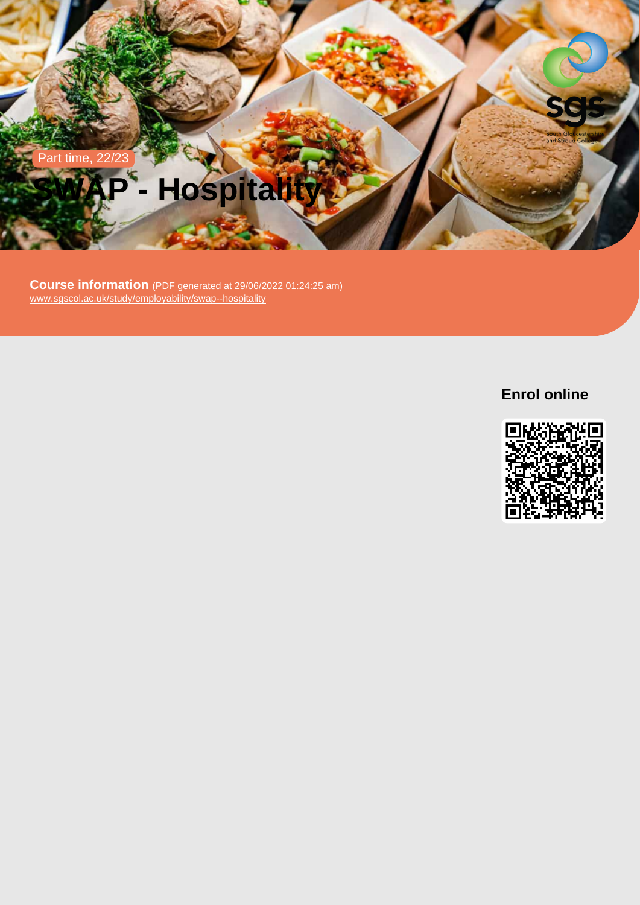# Part time, 22/23 SWAP - Hospitality

Course information (PDF generated at 29/06/2022 01:24:25 am) [www.sgscol.ac.uk/study/employability/swap--hospitality](https://www.sgscol.ac.uk/study/employability/swap--hospitality)

Enrol online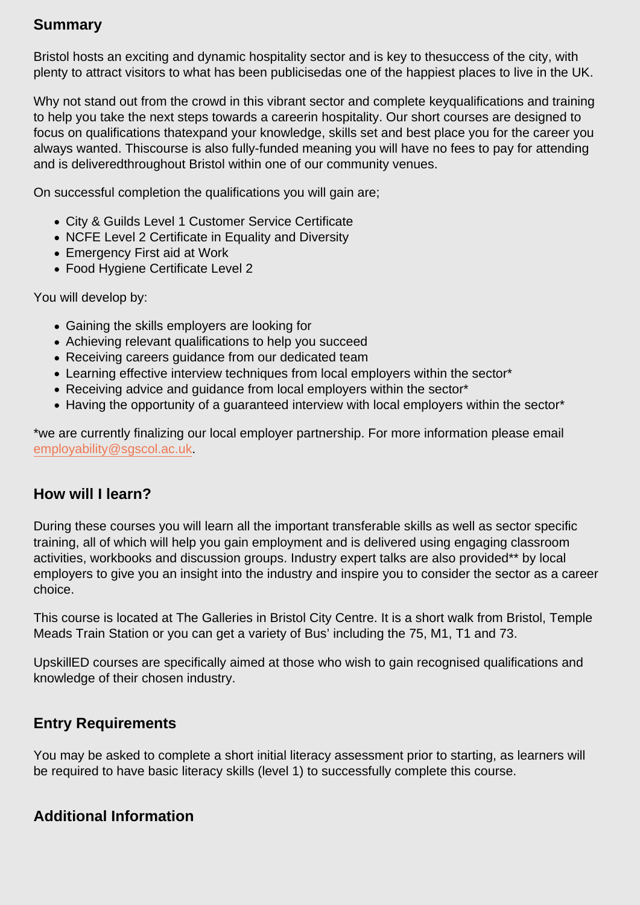# Summary

Bristol hosts an exciting and dynamic hospitality sector and is key to thesuccess of the city, with plenty to attract visitors to what has been publicisedas one of the happiest places to live in the UK.

Why not stand out from the crowd in this vibrant sector and complete keyqualifications and training to help you take the next steps towards a careerin hospitality. Our short courses are designed to focus on qualifications thatexpand your knowledge, skills set and best place you for the career you always wanted. Thiscourse is also fully-funded meaning you will have no fees to pay for attending and is deliveredthroughout Bristol within one of our community venues.

On successful completion the qualifications you will gain are;

- City & Guilds Level 1 Customer Service Certificate
- NCFE Level 2 Certificate in Equality and Diversity
- Emergency First aid at Work
- Food Hygiene Certificate Level 2

You will develop by:

- Gaining the skills employers are looking for
- Achieving relevant qualifications to help you succeed
- Receiving careers guidance from our dedicated team
- Learning effective interview techniques from local employers within the sector\*
- Receiving advice and guidance from local employers within the sector\*
- Having the opportunity of a guaranteed interview with local employers within the sector\*

\*we are currently finalizing our local employer partnership. For more information please email [employability@sgscol.ac.uk.](mailto:employability@sgscol.ac.uk)

## How will I learn?

During these courses you will learn all the important transferable skills as well as sector specific training, all of which will help you gain employment and is delivered using engaging classroom activities, workbooks and discussion groups. Industry expert talks are also provided\*\* by local employers to give you an insight into the industry and inspire you to consider the sector as a career choice.

This course is located at The Galleries in Bristol City Centre. It is a short walk from Bristol, Temple Meads Train Station or you can get a variety of Bus' including the 75, M1, T1 and 73.

UpskillED courses are specifically aimed at those who wish to gain recognised qualifications and knowledge of their chosen industry.

### Entry Requirements

You may be asked to complete a short initial literacy assessment prior to starting, as learners will be required to have basic literacy skills (level 1) to successfully complete this course.

## Additional Information